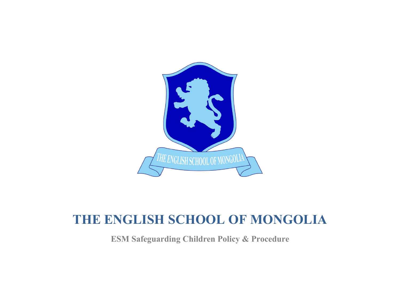

# **THE ENGLISH SCHOOL OF MONGOLIA**

**ESM Safeguarding Children Policy & Procedure**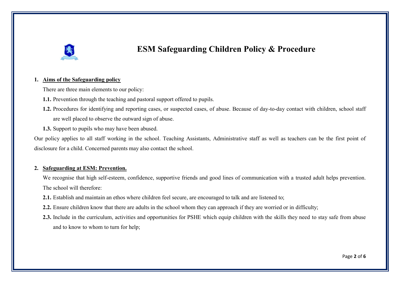

## **ESM Safeguarding Children Policy & Procedure**

#### **1. Aims of the Safeguarding policy**

There are three main elements to our policy:

- **1.1.** Prevention through the teaching and pastoral support offered to pupils.
- **1.2.** Procedures for identifying and reporting cases, or suspected cases, of abuse. Because of day-to-day contact with children, school staff are well placed to observe the outward sign of abuse.
- **1.3.** Support to pupils who may have been abused.

Our policy applies to all staff working in the school. Teaching Assistants, Administrative staff as well as teachers can be the first point of disclosure for a child. Concerned parents may also contact the school.

### **2. Safeguarding at ESM: Prevention.**

We recognise that high self-esteem, confidence, supportive friends and good lines of communication with a trusted adult helps prevention. The school will therefore:

- **2.1.** Establish and maintain an ethos where children feel secure, are encouraged to talk and are listened to;
- **2.2.** Ensure children know that there are adults in the school whom they can approach if they are worried or in difficulty;
- **2.3.** Include in the curriculum, activities and opportunities for PSHE which equip children with the skills they need to stay safe from abuse and to know to whom to turn for help;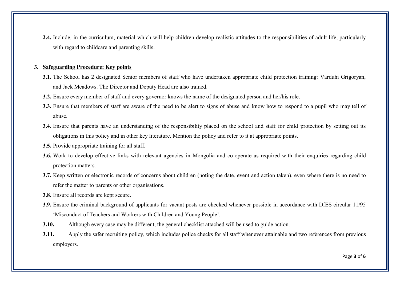**2.4.** Include, in the curriculum, material which will help children develop realistic attitudes to the responsibilities of adult life, particularly with regard to childcare and parenting skills.

#### **3. Safeguarding Procedure: Key points**

- **3.1.** The School has 2 designated Senior members of staff who have undertaken appropriate child protection training: Varduhi Grigoryan, and Jack Meadows. The Director and Deputy Head are also trained.
- **3.2.** Ensure every member of staff and every governor knows the name of the designated person and her/his role.
- **3.3.** Ensure that members of staff are aware of the need to be alert to signs of abuse and know how to respond to a pupil who may tell of abuse.
- **3.4.** Ensure that parents have an understanding of the responsibility placed on the school and staff for child protection by setting out its obligations in this policy and in other key literature. Mention the policy and refer to it at appropriate points.
- **3.5.** Provide appropriate training for all staff.
- **3.6.** Work to develop effective links with relevant agencies in Mongolia and co-operate as required with their enquiries regarding child protection matters.
- **3.7.** Keep written or electronic records of concerns about children (noting the date, event and action taken), even where there is no need to refer the matter to parents or other organisations.
- **3.8.** Ensure all records are kept secure.
- **3.9.** Ensure the criminal background of applicants for vacant posts are checked whenever possible in accordance with DfES circular 11/95 'Misconduct of Teachers and Workers with Children and Young People'.
- **3.10.** Although every case may be different, the general checklist attached will be used to guide action.
- **3.11.** Apply the safer recruiting policy, which includes police checks for all staff whenever attainable and two references from previous employers.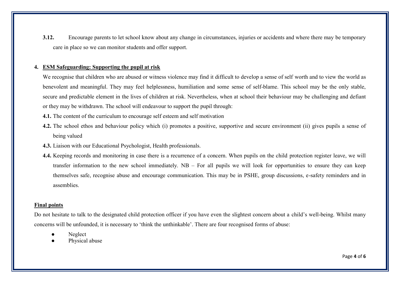**3.12.** Encourage parents to let school know about any change in circumstances, injuries or accidents and where there may be temporary care in place so we can monitor students and offer support.

#### **4. ESM Safeguarding: Supporting the pupil at risk**

We recognise that children who are abused or witness violence may find it difficult to develop a sense of self worth and to view the world as benevolent and meaningful. They may feel helplessness, humiliation and some sense of self-blame. This school may be the only stable, secure and predictable element in the lives of children at risk. Nevertheless, when at school their behaviour may be challenging and defiant or they may be withdrawn. The school will endeavour to support the pupil through:

**4.1.** The content of the curriculum to encourage self esteem and self motivation

- **4.2.** The school ethos and behaviour policy which (i) promotes a positive, supportive and secure environment (ii) gives pupils a sense of being valued
- **4.3.** Liaison with our Educational Psychologist, Health professionals.
- **4.4.** Keeping records and monitoring in case there is a recurrence of a concern. When pupils on the child protection register leave, we will transfer information to the new school immediately. NB – For all pupils we will look for opportunities to ensure they can keep themselves safe, recognise abuse and encourage communication. This may be in PSHE, group discussions, e-safety reminders and in assemblies.

#### **Final points**

Do not hesitate to talk to the designated child protection officer if you have even the slightest concern about a child's well-being. Whilst many concerns will be unfounded, it is necessary to 'think the unthinkable'. There are four recognised forms of abuse:

- Neglect
- Physical abuse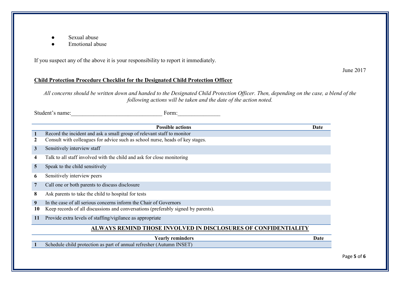- Sexual abuse
- Emotional abuse

If you suspect any of the above it is your responsibility to report it immediately.

June 2017

### **Child Protection Procedure Checklist for the Designated Child Protection Officer**

*All concerns should be written down and handed to the Designated Child Protection Officer. Then, depending on the case, a blend of the following actions will be taken and the date of the action noted.*

Student's name:<br>
Form:

|                                                                       | <b>Possible actions</b>                                                           | Date |  |  |
|-----------------------------------------------------------------------|-----------------------------------------------------------------------------------|------|--|--|
| 1                                                                     | Record the incident and ask a small group of relevant staff to monitor            |      |  |  |
|                                                                       | Consult with colleagues for advice such as school nurse, heads of key stages.     |      |  |  |
| 3                                                                     | Sensitively interview staff                                                       |      |  |  |
| 4                                                                     | Talk to all staff involved with the child and ask for close monitoring            |      |  |  |
| 5                                                                     | Speak to the child sensitively                                                    |      |  |  |
| 6                                                                     | Sensitively interview peers                                                       |      |  |  |
| 7                                                                     | Call one or both parents to discuss disclosure                                    |      |  |  |
| 8                                                                     | Ask parents to take the child to hospital for tests                               |      |  |  |
| 9                                                                     | In the case of all serious concerns inform the Chair of Governors                 |      |  |  |
| 10                                                                    | Keep records of all discussions and conversations (preferably signed by parents). |      |  |  |
| 11                                                                    | Provide extra levels of staffing/vigilance as appropriate                         |      |  |  |
| <b>ALWAYS REMIND THOSE INVOLVED IN DISCLOSURES OF CONFIDENTIALITY</b> |                                                                                   |      |  |  |
|                                                                       | <b>Yearly reminders</b>                                                           | Date |  |  |
|                                                                       | Schedule child protection as part of annual refresher (Autumn INSET)              |      |  |  |